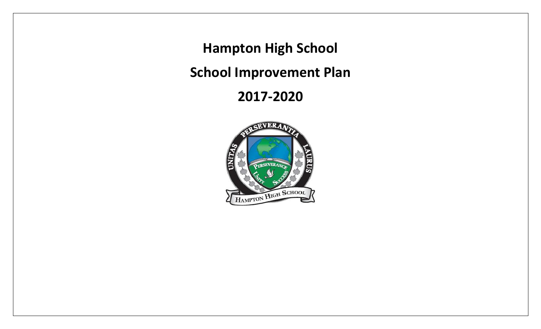**Hampton High School**

**School Improvement Plan**

**2017-2020**

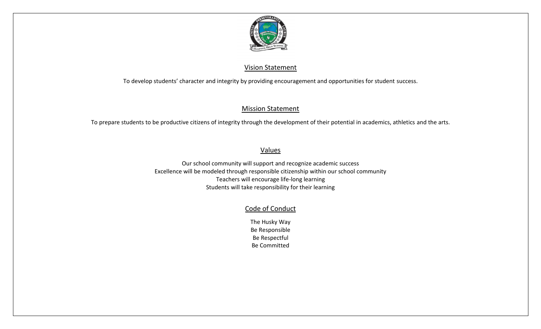

#### Vision Statement

To develop students' character and integrity by providing encouragement and opportunities for student success.

#### Mission Statement

To prepare students to be productive citizens of integrity through the development of their potential in academics, athletics and the arts.

### Values

Our school community will support and recognize academic success Excellence will be modeled through responsible citizenship within our school community Teachers will encourage life-long learning Students will take responsibility for their learning

### Code of Conduct

The Husky Way Be Responsible Be Respectful Be Committed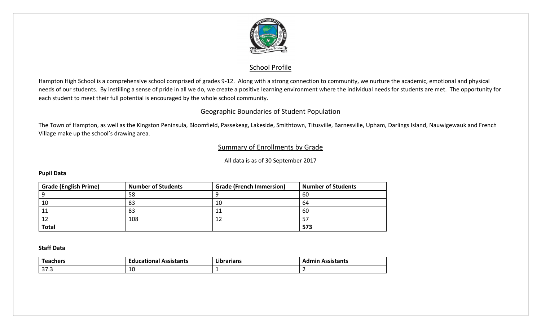

#### School Profile

Hampton High School is a comprehensive school comprised of grades 9-12. Along with a strong connection to community, we nurture the academic, emotional and physical needs of our students. By instilling a sense of pride in all we do, we create a positive learning environment where the individual needs for students are met. The opportunity for each student to meet their full potential is encouraged by the whole school community.

#### Geographic Boundaries of Student Population

The Town of Hampton, as well as the Kingston Peninsula, Bloomfield, Passekeag, Lakeside, Smithtown, Titusville, Barnesville, Upham, Darlings Island, Nauwigewauk and French Village make up the school's drawing area.

#### Summary of Enrollments by Grade

All data is as of 30 September 2017

#### **Pupil Data**

| <b>Grade (English Prime)</b> | <b>Number of Students</b> | <b>Grade (French Immersion)</b> | <b>Number of Students</b> |
|------------------------------|---------------------------|---------------------------------|---------------------------|
|                              | 58                        |                                 | 60                        |
| 10                           | 83                        | 10                              | 64                        |
| 11                           | 83                        |                                 | 60                        |
| 12                           | 108                       |                                 |                           |
| <b>Total</b>                 |                           |                                 | 573                       |

#### **Staff Data**

| ست                      | Educational       | .          | <b>\ssistants</b> |
|-------------------------|-------------------|------------|-------------------|
| <b>Teachers</b>         | <b>Assistants</b> | Librarians | <b>Admir</b>      |
| $\sim$ $\sim$<br>د. ، د | 10                |            |                   |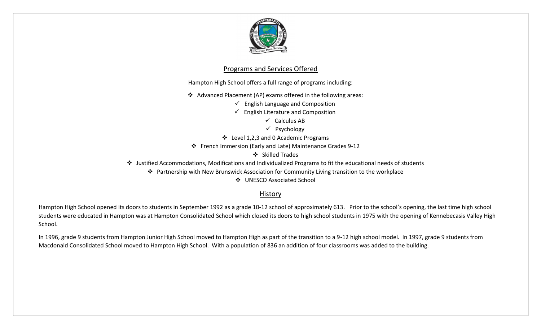

#### Programs and Services Offered

Hampton High School offers a full range of programs including:

Advanced Placement (AP) exams offered in the following areas:

 $\checkmark$  English Language and Composition

 $\checkmark$  English Literature and Composition

 $\checkmark$  Calculus AB

 $\checkmark$  Psychology

Level 1,2,3 and 0 Academic Programs

French Immersion (Early and Late) Maintenance Grades 9-12

Skilled Trades

Justified Accommodations, Modifications and Individualized Programs to fit the educational needs of students

Partnership with New Brunswick Association for Community Living transition to the workplace

UNESCO Associated School

#### **History**

Hampton High School opened its doors to students in September 1992 as a grade 10-12 school of approximately 613. Prior to the school's opening, the last time high school students were educated in Hampton was at Hampton Consolidated School which closed its doors to high school students in 1975 with the opening of Kennebecasis Valley High School.

In 1996, grade 9 students from Hampton Junior High School moved to Hampton High as part of the transition to a 9-12 high school model. In 1997, grade 9 students from Macdonald Consolidated School moved to Hampton High School. With a population of 836 an addition of four classrooms was added to the building.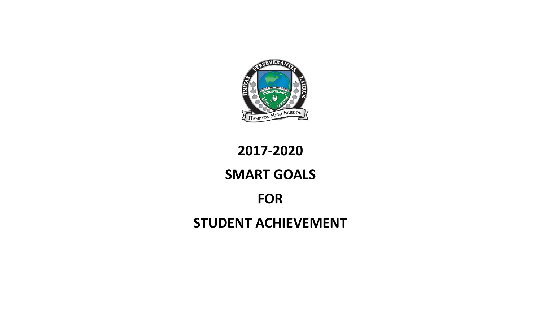

# **2017-2020**

# **SMART GOALS**

## **FOR**

## **STUDENT ACHIEVEMENT**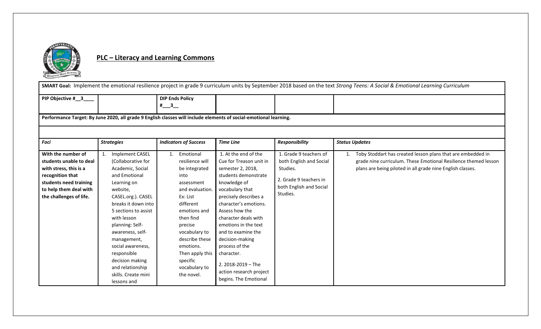

### **PLC – Literacy and Learning Commons**

| SMART Goal: Implement the emotional resilience project in grade 9 curriculum units by September 2018 based on the text Strong Teens: A Social & Emotional Learning Curriculum |                                                                                                                                                                                                                                                                                                                                                                                    |                                                                                                                                                                                                                                                                             |                                                                                                                                                                                                                                                                                                                                                                                                        |                                                                                                                                |                                                                                                                                                                                              |  |  |  |  |
|-------------------------------------------------------------------------------------------------------------------------------------------------------------------------------|------------------------------------------------------------------------------------------------------------------------------------------------------------------------------------------------------------------------------------------------------------------------------------------------------------------------------------------------------------------------------------|-----------------------------------------------------------------------------------------------------------------------------------------------------------------------------------------------------------------------------------------------------------------------------|--------------------------------------------------------------------------------------------------------------------------------------------------------------------------------------------------------------------------------------------------------------------------------------------------------------------------------------------------------------------------------------------------------|--------------------------------------------------------------------------------------------------------------------------------|----------------------------------------------------------------------------------------------------------------------------------------------------------------------------------------------|--|--|--|--|
| PIP Objective # 3                                                                                                                                                             |                                                                                                                                                                                                                                                                                                                                                                                    | <b>DIP Ends Policy</b><br>$^{#}$ 3                                                                                                                                                                                                                                          |                                                                                                                                                                                                                                                                                                                                                                                                        |                                                                                                                                |                                                                                                                                                                                              |  |  |  |  |
| Performance Target: By June 2020, all grade 9 English classes will include elements of social-emotional learning.                                                             |                                                                                                                                                                                                                                                                                                                                                                                    |                                                                                                                                                                                                                                                                             |                                                                                                                                                                                                                                                                                                                                                                                                        |                                                                                                                                |                                                                                                                                                                                              |  |  |  |  |
| Foci                                                                                                                                                                          | <b>Strategies</b>                                                                                                                                                                                                                                                                                                                                                                  | <b>Indicators of Success</b>                                                                                                                                                                                                                                                | <b>Time Line</b>                                                                                                                                                                                                                                                                                                                                                                                       | <b>Responsibility</b>                                                                                                          | <b>Status Updates</b>                                                                                                                                                                        |  |  |  |  |
| With the number of<br>students unable to deal<br>with stress, this is a<br>recognition that<br>students need training<br>to help them deal with<br>the challenges of life.    | Implement CASEL<br>$\mathbf{1}$ .<br>(Collaborative for<br>Academic, Social<br>and Emotional<br>Learning on<br>website,<br>CASEL.org.). CASEL<br>breaks it down into<br>5 sections to assist<br>with lesson<br>planning: Self-<br>awareness, self-<br>management,<br>social awareness,<br>responsible<br>decision making<br>and relationship<br>skills. Create mini<br>lessons and | Emotional<br>1.<br>resilience will<br>be integrated<br>into<br>assessment<br>and evaluation.<br>Ex: List<br>different<br>emotions and<br>then find<br>precise<br>vocabulary to<br>describe these<br>emotions.<br>Then apply this<br>specific<br>vocabulary to<br>the novel. | 1. At the end of the<br>Cue for Treason unit in<br>semester 2, 2018,<br>students demonstrate<br>knowledge of<br>vocabulary that<br>precisely describes a<br>character's emotions.<br>Assess how the<br>character deals with<br>emotions in the text<br>and to examine the<br>decision-making<br>process of the<br>character.<br>2. 2018-2019 - The<br>action research project<br>begins. The Emotional | 1. Grade 9 teachers of<br>both English and Social<br>Studies.<br>2. Grade 9 teachers in<br>both English and Social<br>Studies. | Toby Stoddart has created lesson plans that are embedded in<br>grade nine curriculum. These Emotional Resilience themed lesson<br>plans are being piloted in all grade nine English classes. |  |  |  |  |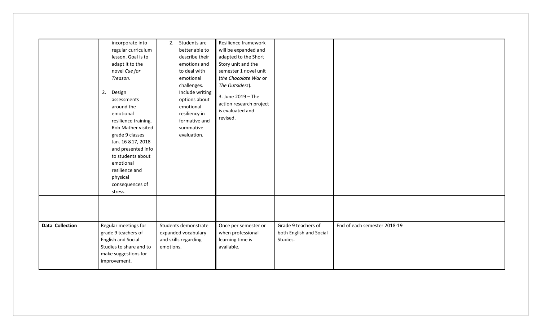|                        | incorporate into<br>regular curriculum<br>lesson. Goal is to<br>adapt it to the<br>novel Cue for<br>Treason.<br>2.<br>Design<br>assessments<br>around the                                                            | Students are<br>2.<br>better able to<br>describe their<br>emotions and<br>to deal with<br>emotional<br>challenges.<br>Include writing<br>options about<br>emotional | Resilience framework<br>will be expanded and<br>adapted to the Short<br>Story unit and the<br>semester 1 novel unit<br>(the Chocolate War or<br>The Outsiders).<br>3. June 2019 - The<br>action research project |                                                            |                              |
|------------------------|----------------------------------------------------------------------------------------------------------------------------------------------------------------------------------------------------------------------|---------------------------------------------------------------------------------------------------------------------------------------------------------------------|------------------------------------------------------------------------------------------------------------------------------------------------------------------------------------------------------------------|------------------------------------------------------------|------------------------------|
|                        | emotional<br>resilience training.<br>Rob Mather visited<br>grade 9 classes<br>Jan. 16 & 17, 2018<br>and presented info<br>to students about<br>emotional<br>resilience and<br>physical<br>consequences of<br>stress. | resiliency in<br>formative and<br>summative<br>evaluation.                                                                                                          | is evaluated and<br>revised.                                                                                                                                                                                     |                                                            |                              |
|                        |                                                                                                                                                                                                                      |                                                                                                                                                                     |                                                                                                                                                                                                                  |                                                            |                              |
| <b>Data Collection</b> | Regular meetings for<br>grade 9 teachers of<br><b>English and Social</b><br>Studies to share and to<br>make suggestions for<br>improvement.                                                                          | Students demonstrate<br>expanded vocabulary<br>and skills regarding<br>emotions.                                                                                    | Once per semester or<br>when professional<br>learning time is<br>available.                                                                                                                                      | Grade 9 teachers of<br>both English and Social<br>Studies. | End of each semester 2018-19 |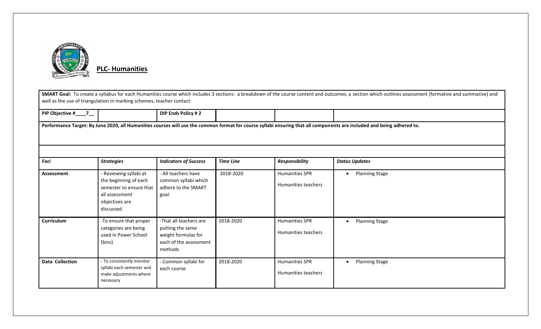

**PLC- Humanities**

|                        | SMART Goal: To create a syllabus for each Humanities course which includes 3 sections: a breakdown of the course content and outcomes, a section which outlines assessment (formative and summative) and<br>well as the use of triangulation in marking schemes, teacher contact |                                                                                                        |                  |                                              |                                                                                                                                                                        |  |  |  |
|------------------------|----------------------------------------------------------------------------------------------------------------------------------------------------------------------------------------------------------------------------------------------------------------------------------|--------------------------------------------------------------------------------------------------------|------------------|----------------------------------------------|------------------------------------------------------------------------------------------------------------------------------------------------------------------------|--|--|--|
| PIP Objective #____7__ |                                                                                                                                                                                                                                                                                  | DIP Ends Policy #2                                                                                     |                  |                                              |                                                                                                                                                                        |  |  |  |
|                        |                                                                                                                                                                                                                                                                                  |                                                                                                        |                  |                                              | Performance Target: By June 2020, all Humanities courses will use the common format for course syllabi ensuring that all components are included and being adhered to. |  |  |  |
|                        |                                                                                                                                                                                                                                                                                  |                                                                                                        |                  |                                              |                                                                                                                                                                        |  |  |  |
| Foci                   | <b>Strategies</b>                                                                                                                                                                                                                                                                | <b>Indicators of Success</b>                                                                           | <b>Time Line</b> | Responsibility                               | <b>Status Updates</b>                                                                                                                                                  |  |  |  |
| <b>Assessment</b>      | - Reviewing syllabi at<br>the beginning of each<br>semester to ensure that<br>all assessment<br>objectives are<br>discussed.                                                                                                                                                     | - All teachers have<br>common syllabi which<br>adhere to the SMART<br>goal.                            | 2018-2020        | <b>Humanities SPR</b><br>Humanities teachers | <b>Planning Stage</b><br>$\bullet$                                                                                                                                     |  |  |  |
| Curriculum             | -To ensure that proper<br>categories are being<br>used in Power School<br>(bins)                                                                                                                                                                                                 | -That all teachers are<br>putting the same<br>weight formulas for<br>each of the assessment<br>methods | 2018-2020        | <b>Humanities SPR</b><br>Humanities teachers | <b>Planning Stage</b><br>$\bullet$                                                                                                                                     |  |  |  |
| <b>Data Collection</b> | - To consistently monitor<br>syllabi each semester and<br>make adjustments where<br>necessary                                                                                                                                                                                    | - Common syllabi for<br>each course                                                                    | 2018-2020        | <b>Humanities SPR</b><br>Humanities teachers | <b>Planning Stage</b><br>$\bullet$                                                                                                                                     |  |  |  |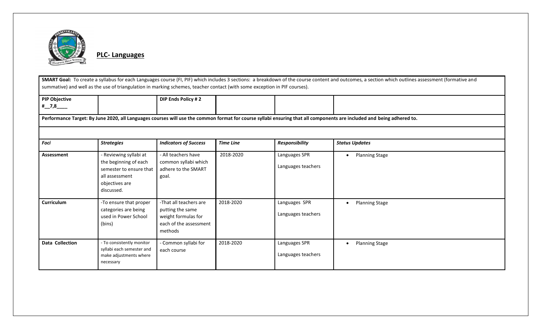

**PLC- Languages**

SMART Goal: To create a syllabus for each Languages course (FI, PIF) which includes 3 sections: a breakdown of the course content and outcomes, a section which outlines assessment (formative and summative) and well as the use of triangulation in marking schemes, teacher contact (with some exception in PIF courses).

| <b>PIP Objective</b>                | DIP Ends Policy #2 |  |  |
|-------------------------------------|--------------------|--|--|
| $\overline{z}$<br>. #<br>7.0<br>___ |                    |  |  |

**Performance Target: By June 2020, all Languages courses will use the common format for course syllabi ensuring that all components are included and being adhered to.** 

| Foci            | <b>Strategies</b>                                                                                                            | <b>Indicators of Success</b>                                                                           | <b>Time Line</b> | <b>Responsibility</b>               | <b>Status Updates</b> |
|-----------------|------------------------------------------------------------------------------------------------------------------------------|--------------------------------------------------------------------------------------------------------|------------------|-------------------------------------|-----------------------|
| Assessment      | - Reviewing syllabi at<br>the beginning of each<br>semester to ensure that<br>all assessment<br>objectives are<br>discussed. | - All teachers have<br>common syllabi which<br>adhere to the SMART<br>goal.                            | 2018-2020        | Languages SPR<br>Languages teachers | <b>Planning Stage</b> |
| Curriculum      | -To ensure that proper<br>categories are being<br>used in Power School<br>(bins)                                             | -That all teachers are<br>putting the same<br>weight formulas for<br>each of the assessment<br>methods | 2018-2020        | Languages SPR<br>Languages teachers | <b>Planning Stage</b> |
| Data Collection | - To consistently monitor<br>syllabi each semester and<br>make adjustments where<br>necessary                                | - Common syllabi for<br>each course                                                                    | 2018-2020        | Languages SPR<br>Languages teachers | <b>Planning Stage</b> |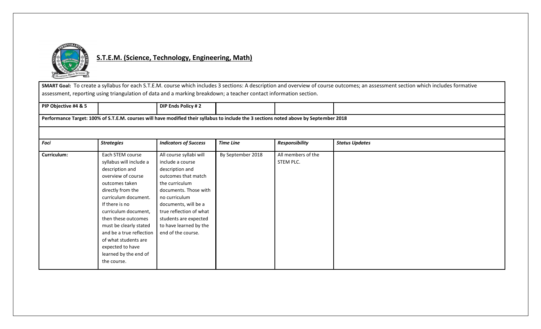

### **S.T.E.M. (Science, Technology, Engineering, Math)**

**SMART Goal:** To create a syllabus for each S.T.E.M. course which includes 3 sections: A description and overview of course outcomes; an assessment section which includes formative assessment, reporting using triangulation of data and a marking breakdown; a teacher contact information section.

| PIP Obiective #4 & 5                                                                                                                   |  | DIP Ends Policy # 2 |  |  |  |  |
|----------------------------------------------------------------------------------------------------------------------------------------|--|---------------------|--|--|--|--|
| Performance Target: 100% of S.T.E.M. courses will have modified their syllabus to include the 3 sections noted above by September 2018 |  |                     |  |  |  |  |

| Foci        | <b>Strategies</b>        | <b>Indicators of Success</b> | <b>Time Line</b>  | <b>Responsibility</b> | <b>Status Updates</b> |
|-------------|--------------------------|------------------------------|-------------------|-----------------------|-----------------------|
| Curriculum: | Each STEM course         | All course syllabi will      | By September 2018 | All members of the    |                       |
|             |                          |                              |                   |                       |                       |
|             | syllabus will include a  | include a course             |                   | STEM PLC.             |                       |
|             | description and          | description and              |                   |                       |                       |
|             | overview of course       | outcomes that match          |                   |                       |                       |
|             | outcomes taken           | the curriculum               |                   |                       |                       |
|             | directly from the        | documents. Those with        |                   |                       |                       |
|             | curriculum document.     | no curriculum                |                   |                       |                       |
|             | If there is no           | documents, will be a         |                   |                       |                       |
|             | curriculum document,     | true reflection of what      |                   |                       |                       |
|             | then these outcomes      | students are expected        |                   |                       |                       |
|             | must be clearly stated   | to have learned by the       |                   |                       |                       |
|             | and be a true reflection | end of the course.           |                   |                       |                       |
|             | of what students are     |                              |                   |                       |                       |
|             | expected to have         |                              |                   |                       |                       |
|             | learned by the end of    |                              |                   |                       |                       |
|             | the course.              |                              |                   |                       |                       |
|             |                          |                              |                   |                       |                       |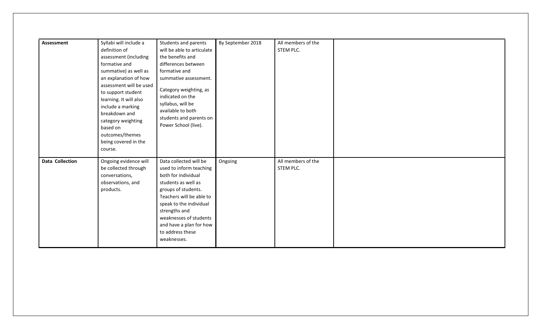| <b>Assessment</b> | Syllabi will include a              | Students and parents                            | By September 2018 | All members of the |
|-------------------|-------------------------------------|-------------------------------------------------|-------------------|--------------------|
|                   | definition of                       | will be able to articulate                      |                   | STEM PLC.          |
|                   | assessment (including               | the benefits and                                |                   |                    |
|                   | formative and                       | differences between                             |                   |                    |
|                   | summative) as well as               | formative and                                   |                   |                    |
|                   | an explanation of how               | summative assessment.                           |                   |                    |
|                   | assessment will be used             | Category weighting, as                          |                   |                    |
|                   | to support student                  | indicated on the                                |                   |                    |
|                   | learning. It will also              | syllabus, will be                               |                   |                    |
|                   | include a marking                   | available to both                               |                   |                    |
|                   | breakdown and<br>category weighting | students and parents on                         |                   |                    |
|                   | based on                            | Power School (live).                            |                   |                    |
|                   | outcomes/themes                     |                                                 |                   |                    |
|                   | being covered in the                |                                                 |                   |                    |
|                   | course.                             |                                                 |                   |                    |
|                   |                                     |                                                 |                   |                    |
| Data Collection   | Ongoing evidence will               | Data collected will be                          | Ongoing           | All members of the |
|                   | be collected through                | used to inform teaching                         |                   | STEM PLC.          |
|                   | conversations,                      | both for individual                             |                   |                    |
|                   | observations, and<br>products.      | students as well as                             |                   |                    |
|                   |                                     | groups of students.<br>Teachers will be able to |                   |                    |
|                   |                                     | speak to the individual                         |                   |                    |
|                   |                                     | strengths and                                   |                   |                    |
|                   |                                     | weaknesses of students                          |                   |                    |
|                   |                                     | and have a plan for how                         |                   |                    |
|                   |                                     | to address these                                |                   |                    |
|                   |                                     | weaknesses.                                     |                   |                    |
|                   |                                     |                                                 |                   |                    |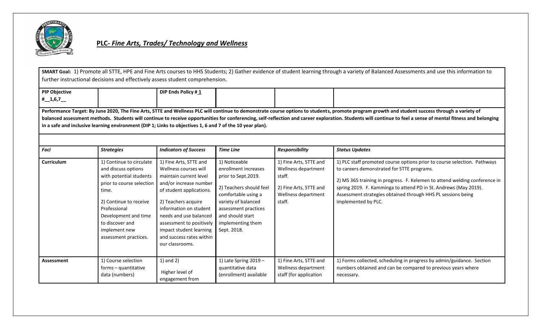

#### **PLC-** *Fine Arts, Trades/ Technology and Wellness*

**SMART Goal:** 1) Promote all STTE, HPE and Fine Arts courses to HHS Students; 2) Gather evidence of student learning through a variety of Balanced Assessments and use this information to further instructional decisions and effectively assess student comprehension.

| PIP Objective                                                                                                                                                                                   |  | DIP Ends Policy #1 |  |  |  |
|-------------------------------------------------------------------------------------------------------------------------------------------------------------------------------------------------|--|--------------------|--|--|--|
| $\#$ 1,6,7                                                                                                                                                                                      |  |                    |  |  |  |
|                                                                                                                                                                                                 |  |                    |  |  |  |
| Performance Target: By June 2020, The Fine Arts, STTE and Wellness PLC will continue to demonstrate course options to students, promote program growth and student success through a variety of |  |                    |  |  |  |

**balanced assessment methods. Students will continue to receive opportunities for conferencing, self-reflection and career exploration. Students will continue to feel a sense of mental fitness and belonging in a safe and inclusive learning environment (DIP 1; Links to objectives 1, 6 and 7 of the 10 year plan).**

| Foci       | <b>Strategies</b>                                                                                                                                                                                                                               | <b>Indicators of Success</b>                                                                                                                                                                                                                                                                                     | <b>Time Line</b>                                                                                                                                                                                                      | <b>Responsibility</b>                                                                                              | <b>Status Updates</b>                                                                                                                                                                                                                                                                                                                                           |
|------------|-------------------------------------------------------------------------------------------------------------------------------------------------------------------------------------------------------------------------------------------------|------------------------------------------------------------------------------------------------------------------------------------------------------------------------------------------------------------------------------------------------------------------------------------------------------------------|-----------------------------------------------------------------------------------------------------------------------------------------------------------------------------------------------------------------------|--------------------------------------------------------------------------------------------------------------------|-----------------------------------------------------------------------------------------------------------------------------------------------------------------------------------------------------------------------------------------------------------------------------------------------------------------------------------------------------------------|
|            |                                                                                                                                                                                                                                                 |                                                                                                                                                                                                                                                                                                                  |                                                                                                                                                                                                                       |                                                                                                                    |                                                                                                                                                                                                                                                                                                                                                                 |
| Curriculum | 1) Continue to circulate<br>and discuss options<br>with potential students<br>prior to course selection<br>time.<br>2) Continue to receive<br>Professional<br>Development and time<br>to discover and<br>implement new<br>assessment practices. | 1) Fine Arts, STTE and<br>Wellness courses will<br>maintain current level<br>and/or increase number<br>of student applications.<br>2) Teachers acquire<br>information on student<br>needs and use balanced<br>assessment to positively<br>impact student learning<br>and success rates within<br>our classrooms. | 1) Noticeable<br>enrollment increases<br>prior to Sept.2019.<br>2) Teachers should feel<br>comfortable using a<br>variety of balanced<br>assessment practices<br>and should start<br>implementing them<br>Sept. 2018. | 1) Fine Arts, STTE and<br>Wellness department<br>staff.<br>2) Fine Arts, STTE and<br>Wellness department<br>staff. | 1) PLC staff promoted course options prior to course selection. Pathways<br>to careers demonstrated for STTE programs.<br>2) MS 365 training in progress. F. Kelemen to attend welding conference in<br>spring 2019. F. Kamminga to attend PD in St. Andrews (May 2019).<br>Assessment strategies obtained through HHS PL sessions being<br>implemented by PLC. |
| Assessment | 1) Course selection<br>forms - quantitative<br>data (numbers)                                                                                                                                                                                   | $1)$ and $2)$<br>Higher level of<br>engagement from                                                                                                                                                                                                                                                              | 1) Late Spring $2019 -$<br>quantitative data<br>(enrollment) available                                                                                                                                                | 1) Fine Arts, STTE and<br>Wellness department<br>staff (for application                                            | 1) Forms collected, scheduling in progress by admin/guidance. Section<br>numbers obtained and can be compared to previous years where<br>necessary.                                                                                                                                                                                                             |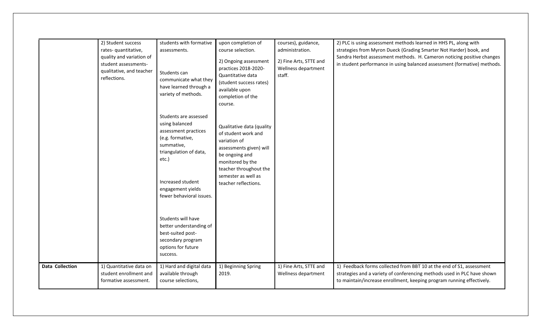|                        | 2) Student success<br>rates- quantitative,<br>quality and variation of<br>student assessments-<br>qualitative, and teacher<br>reflections. | students with formative<br>assessments.<br>Students can<br>communicate what they<br>have learned through a<br>variety of methods.                                                                          | upon completion of<br>course selection.<br>2) Ongoing assessment<br>practices 2018-2020-<br>Quantitative data<br>(student success rates)<br>available upon<br>completion of the<br>course.                 | courses), guidance,<br>administration.<br>2) Fine Arts, STTE and<br>Wellness department<br>staff. | 2) PLC is using assessment methods learned in HHS PL, along with<br>strategies from Myron Dueck (Grading Smarter Not Harder) book, and<br>Sandra Herbst assessment methods. H. Cameron noticing positive changes<br>in student performance in using balanced assessment (formative) methods. |
|------------------------|--------------------------------------------------------------------------------------------------------------------------------------------|------------------------------------------------------------------------------------------------------------------------------------------------------------------------------------------------------------|------------------------------------------------------------------------------------------------------------------------------------------------------------------------------------------------------------|---------------------------------------------------------------------------------------------------|----------------------------------------------------------------------------------------------------------------------------------------------------------------------------------------------------------------------------------------------------------------------------------------------|
|                        |                                                                                                                                            | Students are assessed<br>using balanced<br>assessment practices<br>(e.g. formative,<br>summative,<br>triangulation of data,<br>etc.)<br>Increased student<br>engagement yields<br>fewer behavioral issues. | Qualitative data (quality<br>of student work and<br>variation of<br>assessments given) will<br>be ongoing and<br>monitored by the<br>teacher throughout the<br>semester as well as<br>teacher reflections. |                                                                                                   |                                                                                                                                                                                                                                                                                              |
|                        |                                                                                                                                            | Students will have<br>better understanding of<br>best-suited post-<br>secondary program<br>options for future<br>success.                                                                                  |                                                                                                                                                                                                            |                                                                                                   |                                                                                                                                                                                                                                                                                              |
| <b>Data Collection</b> | 1) Quantitative data on<br>student enrollment and<br>formative assessment.                                                                 | 1) Hard and digital data<br>available through<br>course selections,                                                                                                                                        | 1) Beginning Spring<br>2019.                                                                                                                                                                               | 1) Fine Arts, STTE and<br>Wellness department                                                     | 1) Feedback forms collected from BBT 10 at the end of S1, assessment<br>strategies and a variety of conferencing methods used in PLC have shown<br>to maintain/increase enrollment, keeping program running effectively.                                                                     |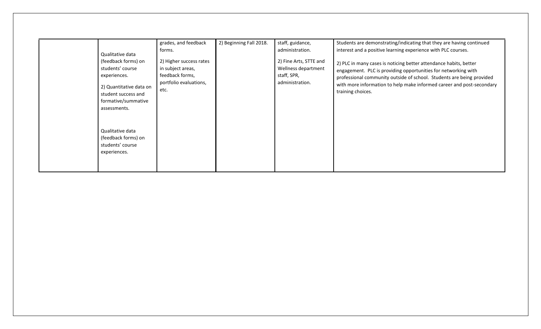|                                                                                                                                                                      | grades, and feedback                                                                                        | 2) Beginning Fall 2018. | staff, guidance,                                                                                   | Students are demonstrating/indicating that they are having continued                                                                                                                                                                                                                                                                                                        |
|----------------------------------------------------------------------------------------------------------------------------------------------------------------------|-------------------------------------------------------------------------------------------------------------|-------------------------|----------------------------------------------------------------------------------------------------|-----------------------------------------------------------------------------------------------------------------------------------------------------------------------------------------------------------------------------------------------------------------------------------------------------------------------------------------------------------------------------|
| Qualitative data<br>(feedback forms) on<br>students' course<br>experiences.<br>2) Quantitative data on<br>student success and<br>formative/summative<br>assessments. | forms.<br>2) Higher success rates<br>in subject areas,<br>feedback forms,<br>portfolio evaluations,<br>etc. |                         | administration.<br>2) Fine Arts, STTE and<br>Wellness department<br>staff, SPR,<br>administration. | interest and a positive learning experience with PLC courses.<br>2) PLC in many cases is noticing better attendance habits, better<br>engagement. PLC is providing opportunities for networking with<br>professional community outside of school. Students are being provided<br>with more information to help make informed career and post-secondary<br>training choices. |
| Qualitative data<br>(feedback forms) on<br>students' course<br>experiences.                                                                                          |                                                                                                             |                         |                                                                                                    |                                                                                                                                                                                                                                                                                                                                                                             |